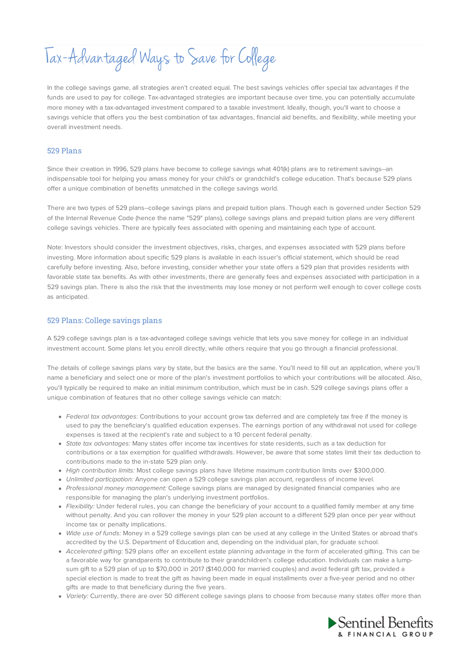Tax-Advantaged Ways to Save forCollege

In the college savings game, all strategies aren't created equal. The best savings vehicles offer special tax advantages if the funds are used to pay for college. Tax-advantaged strategies are important because over time, you can potentially accumulate more money with a tax-advantaged investment compared to a taxable investment. Ideally, though, you'll want to choose a savings vehicle that offers you the best combination of tax advantages, financial aid benefits, and flexibility, while meeting your overall investment needs.

# 529 Plans

Since their creation in 1996, 529 plans have become to college savings what 401(k) plans are to retirement savings--an indispensable tool for helping you amass money for your child's or grandchild's college education. That's because 529 plans offer a unique combination of benefits unmatched in the college savings world.

There are two types of 529 plans--college savings plans and prepaid tuition plans. Though each is governed under Section 529 of the Internal Revenue Code (hence the name "529" plans), college savings plans and prepaid tuition plans are very different college savings vehicles. There are typically fees associated with opening and maintaining each type of account.

Note: Investors should consider the investment objectives, risks, charges, and expenses associated with 529 plans before investing. More information about specific 529 plans is available in each issuer's official statement, which should be read carefully before investing. Also, before investing, consider whether your state offers a 529 plan that provides residents with favorable state tax benefits. As with other investments, there are generally fees and expenses associated with participation in a 529 savings plan. There is also the risk that the investments may lose money or not perform well enough to cover college costs as anticipated.

## 529 Plans: College savings plans

A 529 college savings plan is a tax-advantaged college savings vehicle that lets you save money for college in an individual investment account. Some plans let you enroll directly, while others require that you go through a financial professional.

The details of college savings plans vary by state, but the basics are the same. You'll need to fill out an application, where you'll name a beneficiary and select one or more of the plan's investment portfolios to which your contributions will be allocated. Also, you'll typically be required to make an initial minimum contribution, which must be in cash. 529 college savings plans offer a unique combination of features that no other college savings vehicle can match:

- Federal tax advantages: Contributions to your account grow tax deferred and are completely tax free if the money is used to pay the beneficiary's qualified education expenses. The earnings portion of any withdrawal not used for college expenses is taxed at the recipient's rate and subject to a 10 percent federal penalty.
- State tax advantages: Many states offer income tax incentives for state residents, such as a tax deduction for contributions or a tax exemption for qualified withdrawals. However, be aware that some states limit their tax deduction to contributions made to the in-state 529 plan only.
- High contribution limits: Most college savings plans have lifetime maximum contribution limits over \$300,000.
- Unlimited participation: Anyone can open a 529 college savings plan account, regardless of income level.
- Professional money management: College savings plans are managed by designated financial companies who are responsible for managing the plan's underlying investment portfolios.
- Flexibility: Under federal rules, you can change the beneficiary of your account to a qualified family member at any time without penalty. And you can rollover the money in your 529 plan account to a different 529 plan once per year without income tax or penalty implications.
- Wide use of funds: Money in a 529 college savings plan can be used at any college in the United States or abroad that's accredited by the U.S. Department of Education and, depending on the individual plan, for graduate school.
- Accelerated gifting: 529 plans offer an excellent estate planning advantage in the form of accelerated gifting. This can be a favorable way for grandparents to contribute to their grandchildren's college education. Individuals can make a lumpsum gift to a 529 plan of up to \$70,000 in 2017 (\$140,000 for married couples) and avoid federal gift tax, provided a special election is made to treat the gift as having been made in equal installments over a five-year period and no other gifts are made to that beneficiary during the five years.
- Variety: Currently, there are over 50 different college savings plans to choose from because many states offer more than

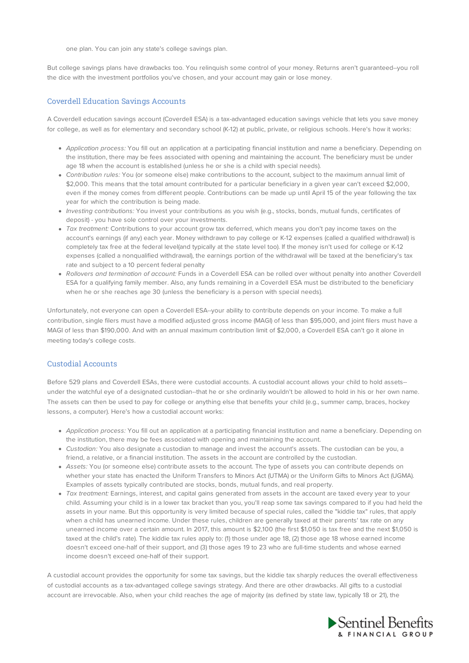one plan. You can join any state's college savings plan.

But college savings plans have drawbacks too. You relinquish some control of your money. Returns aren't guaranteed--you roll the dice with the investment portfolios you've chosen, and your account may gain or lose money.

#### Coverdell Education Savings Accounts

A Coverdell education savings account (Coverdell ESA) is a tax-advantaged education savings vehicle that lets you save money for college, as well as for elementary and secondary school (K-12) at public, private, or religious schools. Here's how it works:

- Application process: You fill out an application at a participating financial institution and name a beneficiary. Depending on the institution, there may be fees associated with opening and maintaining the account. The beneficiary must be under age 18 when the account is established (unless he or she is a child with special needs).
- Contribution rules: You (or someone else) make contributions to the account, subject to the maximum annual limit of \$2,000. This means that the total amount contributed for a particular beneficiary in a given year can't exceed \$2,000. even if the money comes from different people. Contributions can be made up until April 15 of the year following the tax year for which the contribution is being made.
- Investing contributions: You invest your contributions as you wish (e.g., stocks, bonds, mutual funds, certificates of deposit) - you have sole control over your investments.
- Tax treatment: Contributions to your account grow tax deferred, which means you don't pay income taxes on the account's earnings (if any) each year. Money withdrawn to pay college or K-12 expenses (called a qualified withdrawal) is completely tax free at the federal level(and typically at the state level too). If the money isn't used for college or K-12 expenses (called a nonqualified withdrawal), the earnings portion of the withdrawal will be taxed at the beneficiary's tax rate and subject to a 10 percent federal penalty
- Rollovers and termination of account: Funds in a Coverdell ESA can be rolled over without penalty into another Coverdell ESA for a qualifying family member. Also, any funds remaining in a Coverdell ESA must be distributed to the beneficiary when he or she reaches age 30 (unless the beneficiary is a person with special needs).

Unfortunately, not everyone can open a Coverdell ESA--your ability to contribute depends on your income. To make a full contribution, single filers must have a modified adjusted gross income (MAGI) of less than \$95,000, and joint filers must have a MAGI of less than \$190,000. And with an annual maximum contribution limit of \$2,000, a Coverdell ESA can't go it alone in meeting today's college costs.

# Custodial Accounts

Before 529 plans and Coverdell ESAs, there were custodial accounts. A custodial account allows your child to hold assets- under the watchful eye of a designated custodian--that he or she ordinarily wouldn't be allowed to hold in his or her own name. The assets can then be used to pay for college or anything else that benefits your child (e.g., summer camp, braces, hockey lessons, a computer). Here's how a custodial account works:

- Application process: You fill out an application at a participating financial institution and name a beneficiary. Depending on the institution, there may be fees associated with opening and maintaining the account.
- Custodian: You also designate a custodian to manage and invest the account's assets. The custodian can be you, a friend, a relative, or a financial institution. The assets in the account are controlled by the custodian.
- Assets: You (or someone else) contribute assets to the account. The type of assets you can contribute depends on whether your state has enacted the Uniform Transfers to Minors Act (UTMA) or the Uniform Gifts to Minors Act (UGMA). Examples of assets typically contributed are stocks, bonds, mutual funds, and real property.
- Tax treatment: Earnings, interest, and capital gains generated from assets in the account are taxed every year to your child. Assuming your child is in a lower tax bracket than you, you'll reap some tax savings compared to if you had held the assets in your name. But this opportunity is very limited because of special rules, called the "kiddie tax" rules, that apply when a child has unearned income. Under these rules, children are generally taxed at their parents' tax rate on any unearned income over a certain amount. In 2017, this amount is \$2,100 (the first \$1,050 is tax free and the next \$1,050 is taxed at the child's rate). The kiddie tax rules apply to: (1) those under age 18, (2) those age 18 whose earned income doesn't exceed one-half of their support, and (3) those ages 19 to 23 who are full-time students and whose earned income doesn't exceed one-half of their support.

A custodial account provides the opportunity for some tax savings, but the kiddie tax sharply reduces the overall effectiveness of custodial accounts as a tax-advantaged college savings strategy. And there are other drawbacks. All gifts to a custodial account are irrevocable. Also, when your child reaches the age of majority (as defined by state law, typically 18 or 21), the

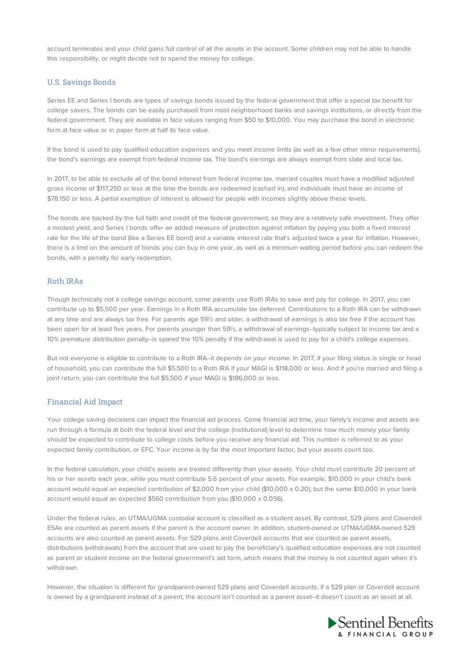account terminates and your child gains full control of all the assets in the account. Some children may not be able to handle this responsibility, or might decide not to spend the money for college.

# U.S. Savings Bonds

Series EE and Series I bonds are types of savings bonds issued by the federal government that offer a special tax benefit for college savers. The bonds can be easily purchased from most neighborhood banks and savings institutions, or directly from the federal government. They are available in face values ranging from \$50 to \$10,000. You may purchase the bond in electronic form at face value or in paper form at half its face value.

If the bond is used to pay qualified education expenses and you meet income limits (as well as a few other minor requirements), the bond's earnings are exempt from federal income tax. The bond's earnings are always exempt from state and local tax.

In 2017, to be able to exclude all of the bond interest from federal income tax, married couples must have a modified adjusted gross income of \$117,250 or less at the time the bonds are redeemed (cashed in), and individuals must have an income of \$78,150 or less. A partial exemption of interest is allowed for people with incomes slightly above these levels.

The bonds are backed by the full faith and credit of the federal government, so they are a relatively safe investment. They offer a modest yield, and Series I bonds offer an added measure of protection against inflation by paying you both a fixed interest rate for the life of the bond (like a Series EE bond) and a variable interest rate that's adjusted twice a year for inflation. However, there is a limit on the amount of bonds you can buy in one year, as well as a minimum waiting period before you can redeem the bonds, with a penalty for early redemption.

#### Roth IRAs

Though technically not a college savings account, some parents use Roth IRAs to save and pay for college. In 2017, you can contribute up to \$5,500 per year. Earnings in a Roth IRA accumulate tax deferred. Contributions to a Roth IRA can be withdrawn at any time and are always tax free. For parents age 59½ and older, a withdrawal of earnings is also tax free if the account has been open for at least five years. For parents younger than 59½, a withdrawal of earnings--typically subject to income tax and a 10% premature distribution penalty--is spared the 10% penalty if the withdrawal is used to pay for a child's college expenses.

But not everyone is eligible to contribute to a Roth IRA--it depends on your income. In 2017, if your filing status is single or head of household, you can contribute the full \$5,500 to a Roth IRA if your MAGI is \$118,000 or less. And if you're married and filing a joint return, you can contribute the full \$5,500 if your MAGI is \$186,000 or less.

#### Financial Aid Impact

Your college saving decisions can impact the financial aid process. Come financial aid time, your family's income and assets are run through a formula at both the federal level and the college (institutional) level to determine how much money your family should be expected to contribute to college costs before you receive any financial aid. This number is referred to as your expected family contribution, or EFC. Your income is by far the most important factor, but your assets count too.

In the federal calculation, your child's assets are treated differently than your assets. Your child must contribute 20 percent of his or her assets each year, while you must contribute 5.6 percent of your assets. For example, \$10,000 in your child's bank account would equal an expected contribution of \$2,000 from your child (\$10,000 x 0.20), but the same \$10,000 in your bank account would equal an expected \$560 contribution from you (\$10,000 x 0.056).

Under the federal rules, an UTMA/UGMA custodial account is classified as a student asset. By contrast, 529 plans and Coverdell ESAs are counted as parent assets if the parent is the account owner. In addition, student-owned or UTMA/UGMA-owned 529 accounts are also counted as parent assets. For 529 plans and Coverdell accounts that are counted as parent assets, distributions (withdrawals) from the account that are used to pay the beneficiary's qualified education expenses are not counted as parent or student income on the federal government's aid form, which means that the money is not counted again when it's withdrawn.

However, the situation is different for grandparent-owned 529 plans and Coverdell accounts. If a 529 plan or Coverdell account is owned by a grandparent instead of a parent, the account isn't counted as a parent asset--it doesn't count as an asset at all.